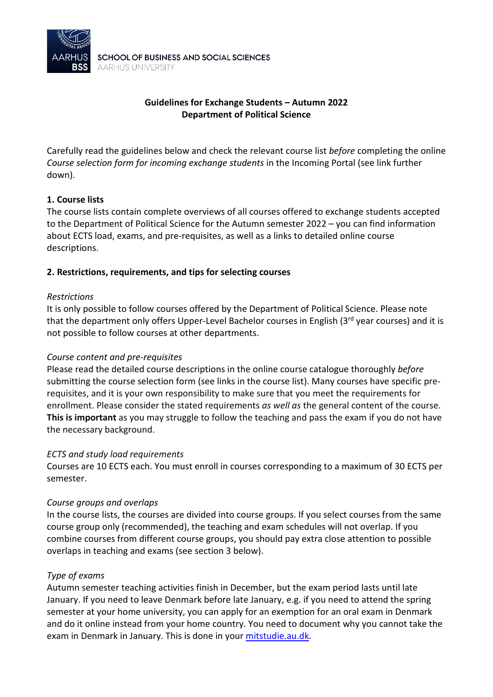

# **Guidelines for Exchange Students – Autumn 2022 Department of Political Science**

Carefully read the guidelines below and check the relevant course list *before* completing the online *Course selection form for incoming exchange students* in the Incoming Portal (see link further down).

# **1. Course lists**

The course lists contain complete overviews of all courses offered to exchange students accepted to the Department of Political Science for the Autumn semester 2022 – you can find information about ECTS load, exams, and pre-requisites, as well as a links to detailed online course descriptions.

### **2. Restrictions, requirements, and tips for selecting courses**

### *Restrictions*

It is only possible to follow courses offered by the Department of Political Science. Please note that the department only offers Upper-Level Bachelor courses in English (3<sup>rd</sup> year courses) and it is not possible to follow courses at other departments.

### *Course content and pre-requisites*

Please read the detailed course descriptions in the online course catalogue thoroughly *before* submitting the course selection form (see links in the course list). Many courses have specific prerequisites, and it is your own responsibility to make sure that you meet the requirements for enrollment. Please consider the stated requirements *as well as* the general content of the course. **This is important** as you may struggle to follow the teaching and pass the exam if you do not have the necessary background.

### *ECTS and study load requirements*

Courses are 10 ECTS each. You must enroll in courses corresponding to a maximum of 30 ECTS per semester.

### *Course groups and overlaps*

In the course lists, the courses are divided into course groups. If you select courses from the same course group only (recommended), the teaching and exam schedules will not overlap. If you combine courses from different course groups, you should pay extra close attention to possible overlaps in teaching and exams (see section 3 below).

### *Type of exams*

Autumn semester teaching activities finish in December, but the exam period lasts until late January. If you need to leave Denmark before late January, e.g. if you need to attend the spring semester at your home university, you can apply for an exemption for an oral exam in Denmark and do it online instead from your home country. You need to document why you cannot take the exam in Denmark in January. This is done in your [mitstudie.au.dk.](https://mitstudie.au.dk/en)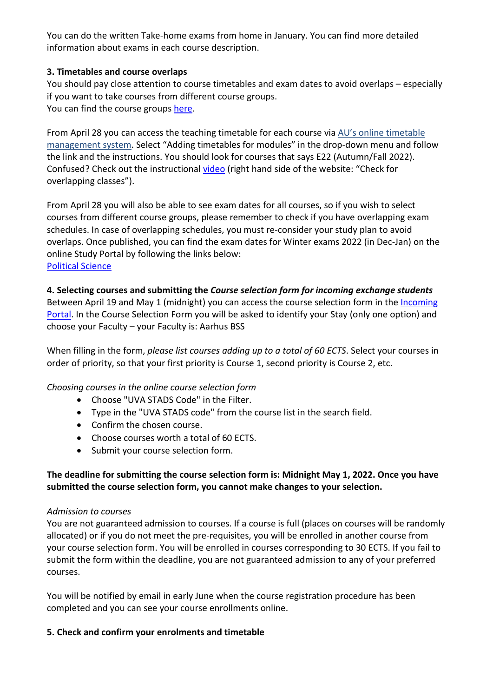You can do the written Take-home exams from home in January. You can find more detailed information about exams in each course description.

# **3. Timetables and course overlaps**

You should pay close attention to course timetables and exam dates to avoid overlaps – especially if you want to take courses from different course groups. You can find the course groups [here.](https://studerende.au.dk/fileadmin/studerende.au.dk/BSS/Statskundskab/Undervisning/Undervisningstilmelding/Fagklynger_PS/Course_clusters_PoliticalScience_E22.pdf)

From April 28 you can access the teaching timetable for each course via [AU's online timetable](https://studerende.au.dk/en/it-support/timeplanner-timetableaudk/)  [management system.](https://studerende.au.dk/en/it-support/timeplanner-timetableaudk/) Select "Adding timetables for modules" in the drop-down menu and follow the link and the instructions. You should look for courses that says E22 (Autumn/Fall 2022). Confused? Check out the instructional [video](https://studerende.au.dk/en/studies/subject-portals/business-administration/teaching/timetables-business-administration) (right hand side of the website: "Check for overlapping classes").

From April 28 you will also be able to see exam dates for all courses, so if you wish to select courses from different course groups, please remember to check if you have overlapping exam schedules. In case of overlapping schedules, you must re-consider your study plan to avoid overlaps. Once published, you can find the exam dates for Winter exams 2022 (in Dec-Jan) on the online Study Portal by following the links below: [Political Science](https://studerende.au.dk/en/studies/subject-portals/political-science/exam/exam-schedules/exam-schedules-master/) 

# **4. Selecting courses and submitting the** *Course selection form for incoming exchange students*

Between April 19 and May 1 (midnight) you can access the course selection form in the *Incoming* [Portal.](https://au.moveon4.de/form/5d691a8b5c5ce77d2613b642/eng) In the Course Selection Form you will be asked to identify your Stay (only one option) and choose your Faculty – your Faculty is: Aarhus BSS

When filling in the form, *please list courses adding up to a total of 60 ECTS*. Select your courses in order of priority, so that your first priority is Course 1, second priority is Course 2, etc.

# *Choosing courses in the online course selection form*

- Choose "UVA STADS Code" in the Filter.
- Type in the "UVA STADS code" from the course list in the search field.
- Confirm the chosen course.
- Choose courses worth a total of 60 ECTS.
- Submit your course selection form.

# **The deadline for submitting the course selection form is: Midnight May 1, 2022. Once you have submitted the course selection form, you cannot make changes to your selection.**

# *Admission to courses*

You are not guaranteed admission to courses. If a course is full (places on courses will be randomly allocated) or if you do not meet the pre-requisites, you will be enrolled in another course from your course selection form. You will be enrolled in courses corresponding to 30 ECTS. If you fail to submit the form within the deadline, you are not guaranteed admission to any of your preferred courses.

You will be notified by email in early June when the course registration procedure has been completed and you can see your course enrollments online.

# **5. Check and confirm your enrolments and timetable**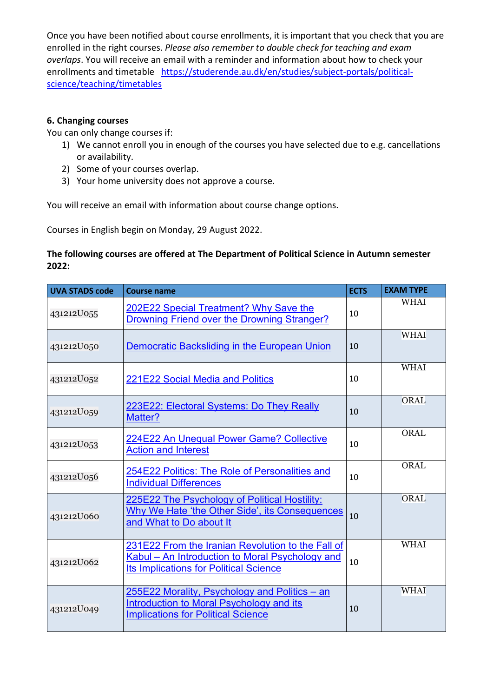Once you have been notified about course enrollments, it is important that you check that you are enrolled in the right courses. *Please also remember to double check for teaching and exam overlaps*. You will receive an email with a reminder and information about how to check your enrollments and timetable [https://studerende.au.dk/en/studies/subject-portals/political](https://studerende.au.dk/en/studies/subject-portals/political-science/teaching/timetables)[science/teaching/timetables](https://studerende.au.dk/en/studies/subject-portals/political-science/teaching/timetables)

## **6. Changing courses**

You can only change courses if:

- 1) We cannot enroll you in enough of the courses you have selected due to e.g. cancellations or availability.
- 2) Some of your courses overlap.
- 3) Your home university does not approve a course.

You will receive an email with information about course change options.

Courses in English begin on Monday, 29 August 2022.

## **The following courses are offered at The Department of Political Science in Autumn semester 2022:**

| <b>UVA STADS code</b> | <b>Course name</b>                                                                                                                                    | <b>ECTS</b> | <b>EXAM TYPE</b> |
|-----------------------|-------------------------------------------------------------------------------------------------------------------------------------------------------|-------------|------------------|
| 431212U055            | 202E22 Special Treatment? Why Save the<br>Drowning Friend over the Drowning Stranger?                                                                 | 10          | <b>WHAI</b>      |
| 431212U050            | Democratic Backsliding in the European Union                                                                                                          | 10          | <b>WHAI</b>      |
| 431212U052            | 221E22 Social Media and Politics                                                                                                                      | 10          | <b>WHAI</b>      |
| 431212U059            | 223E22: Electoral Systems: Do They Really<br>Matter?                                                                                                  | 10          | ORAL             |
| 431212U053            | 224E22 An Unequal Power Game? Collective<br><b>Action and Interest</b>                                                                                | 10          | <b>ORAL</b>      |
| 431212U056            | 254E22 Politics: The Role of Personalities and<br><b>Individual Differences</b>                                                                       | 10          | <b>ORAL</b>      |
| 431212U060            | 225E22 The Psychology of Political Hostility:<br>Why We Hate 'the Other Side', its Consequences<br>and What to Do about It                            | 10          | ORAL             |
| 431212U062            | 231E22 From the Iranian Revolution to the Fall of<br>Kabul - An Introduction to Moral Psychology and<br><b>Its Implications for Political Science</b> | 10          | <b>WHAI</b>      |
| 431212U049            | 255E22 Morality, Psychology and Politics - an<br>Introduction to Moral Psychology and its<br><b>Implications for Political Science</b>                | 10          | <b>WHAI</b>      |